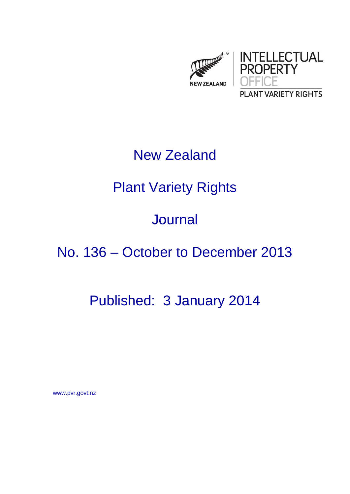

## New Zealand

# Plant Variety Rights

## Journal

## No. 136 – October to December 2013

## Published: 3 January 2014

www.pvr.govt.nz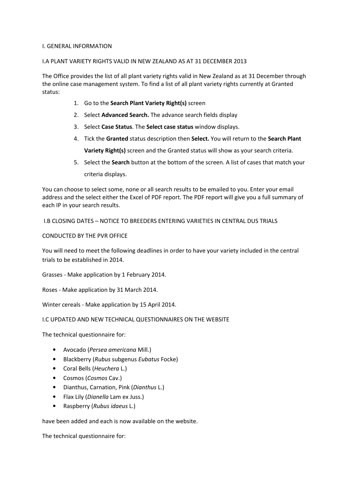#### I. GENERAL INFORMATION

### I.A PLANT VARIETY RIGHTS VALID IN NEW ZEALAND AS AT 31 DECEMBER 2013

The Office provides the list of all plant variety rights valid in New Zealand as at 31 December through the online case management system. To find a list of all plant variety rights currently at Granted status:

- 1. Go to the Search Plant Variety Right(s) screen
- 2. Select Advanced Search. The advance search fields display
- 3. Select Case Status. The Select case status window displays.
- 4. Tick the Granted status description then Select. You will return to the Search Plant Variety Right(s) screen and the Granted status will show as your search criteria.
- 5. Select the **Search** button at the bottom of the screen. A list of cases that match your criteria displays.

You can choose to select some, none or all search results to be emailed to you. Enter your email address and the select either the Excel of PDF report. The PDF report will give you a full summary of each IP in your search results.

I.B CLOSING DATES – NOTICE TO BREEDERS ENTERING VARIETIES IN CENTRAL DUS TRIALS

CONDUCTED BY THE PVR OFFICE

You will need to meet the following deadlines in order to have your variety included in the central trials to be established in 2014.

Grasses - Make application by 1 February 2014.

Roses - Make application by 31 March 2014.

Winter cereals - Make application by 15 April 2014.

### I.C UPDATED AND NEW TECHNICAL QUESTIONNAIRES ON THE WEBSITE

The technical questionnaire for:

- Avocado (Persea americana Mill.)
- Blackberry (Rubus subgenus Eubatus Focke)
- Coral Bells (Heuchera L.)
- Cosmos (Cosmos Cav.)
- Dianthus, Carnation, Pink (Dianthus L.)
- Flax Lily (*Dianella* Lam ex Juss.)
- Raspberry (Rubus idaeus L.)

have been added and each is now available on the website.

The technical questionnaire for: